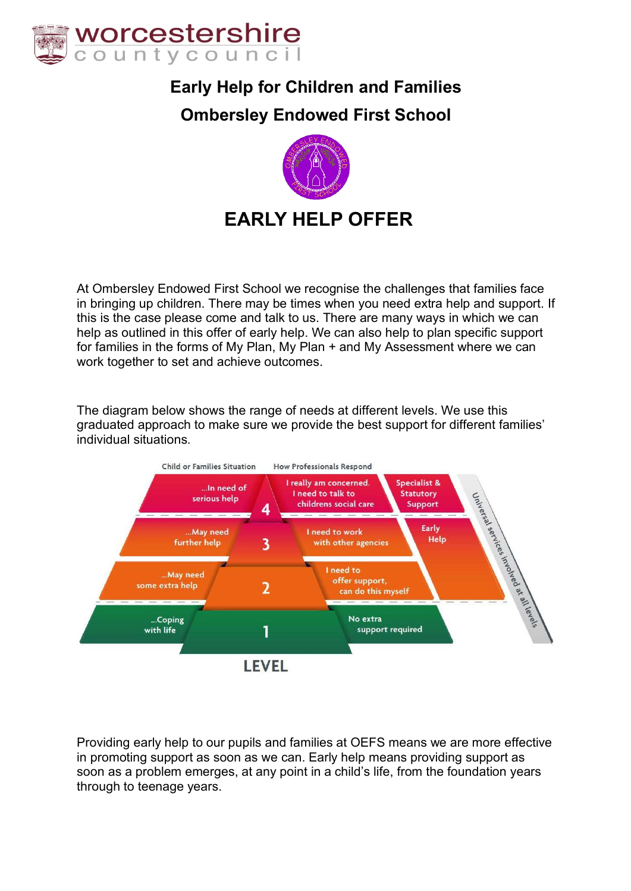

### **Early Help for Children and Families**

### **Ombersley Endowed First School**



At Ombersley Endowed First School we recognise the challenges that families face in bringing up children. There may be times when you need extra help and support. If this is the case please come and talk to us. There are many ways in which we can help as outlined in this offer of early help. We can also help to plan specific support for families in the forms of My Plan, My Plan + and My Assessment where we can work together to set and achieve outcomes.

The diagram below shows the range of needs at different levels. We use this graduated approach to make sure we provide the best support for different families' individual situations.



Providing early help to our pupils and families at OEFS means we are more effective in promoting support as soon as we can. Early help means providing support as soon as a problem emerges, at any point in a child's life, from the foundation years through to teenage years.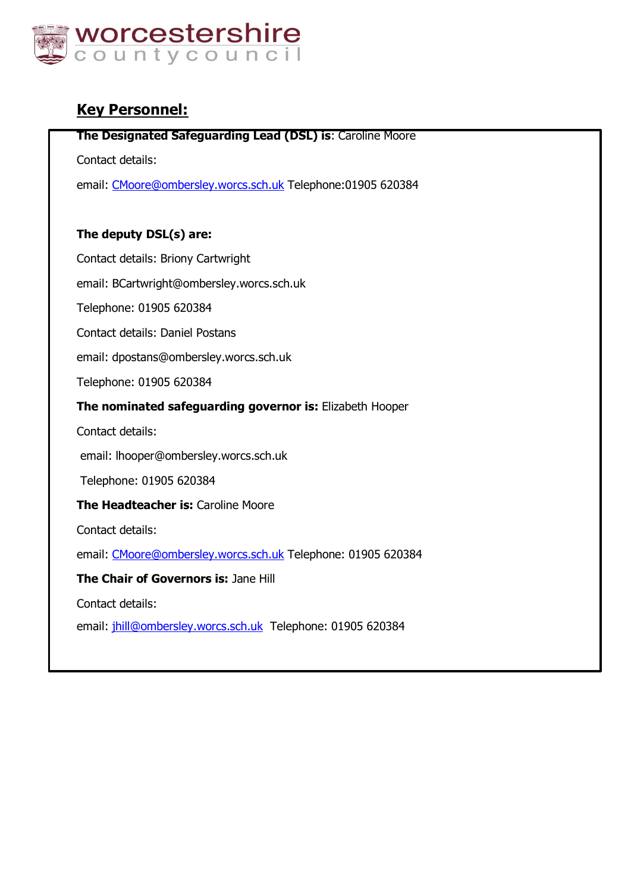

### **Key Personnel:**

### **The Designated Safeguarding Lead (DSL) is**: Caroline Moore

Contact details:

email: CMoore@ombersley.worcs.sch.uk Telephone:01905 620384

### **The deputy DSL(s) are:**

Contact details: Briony Cartwright

email: BCartwright@ombersley.worcs.sch.uk

Telephone: 01905 620384

Contact details: Daniel Postans

email: dpostans@ombersley.worcs.sch.uk

Telephone: 01905 620384

### **The nominated safeguarding governor is:** Elizabeth Hooper

Contact details:

email: lhooper@ombersley.worcs.sch.uk

Telephone: 01905 620384

**The Headteacher is: Caroline Moore** 

Contact details:

email: CMoore@ombersley.worcs.sch.uk Telephone: 01905 620384

**The Chair of Governors is:** Jane Hill

Contact details:

email: jhill@ombersley.worcs.sch.uk Telephone: 01905 620384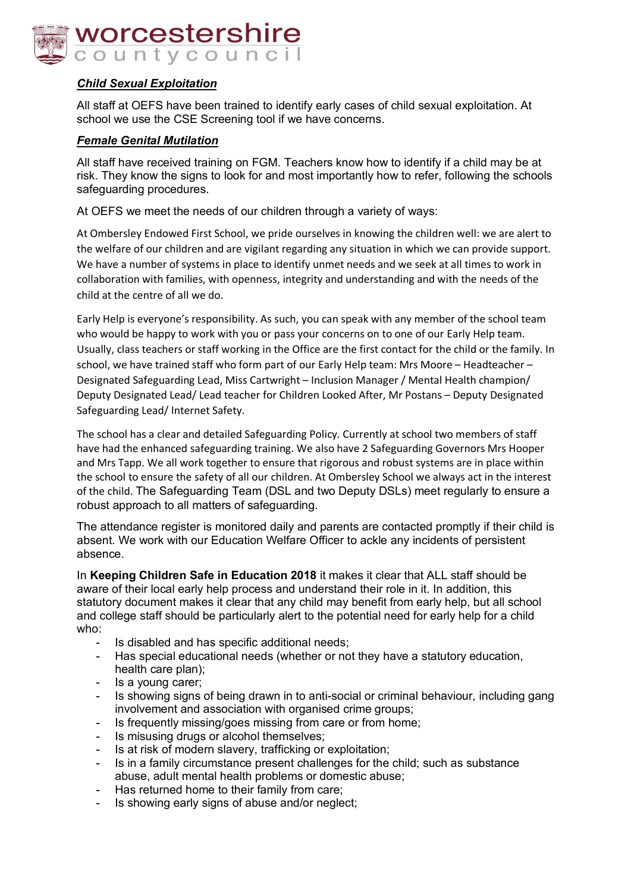

### *Child Sexual Exploitation*

All staff at OEFS have been trained to identify early cases of child sexual exploitation. At school we use the CSE Screening tool if we have concerns.

### *Female Genital Mutilation*

All staff have received training on FGM. Teachers know how to identify if a child may be at risk. They know the signs to look for and most importantly how to refer, following the schools safeguarding procedures.

At OEFS we meet the needs of our children through a variety of ways:

At Ombersley Endowed First School, we pride ourselves in knowing the children well: we are alert to the welfare of our children and are vigilant regarding any situation in which we can provide support. We have a number of systems in place to identify unmet needs and we seek at all times to work in collaboration with families, with openness, integrity and understanding and with the needs of the child at the centre of all we do.

Early Help is everyone's responsibility. As such, you can speak with any member of the school team who would be happy to work with you or pass your concerns on to one of our Early Help team. Usually, class teachers or staff working in the Office are the first contact for the child or the family. In school, we have trained staff who form part of our Early Help team: Mrs Moore – Headteacher – Designated Safeguarding Lead, Miss Cartwright – Inclusion Manager / Mental Health champion/ Deputy Designated Lead/ Lead teacher for Children Looked After, Mr Postans – Deputy Designated Safeguarding Lead/ Internet Safety.

The school has a clear and detailed Safeguarding Policy. Currently at school two members of staff have had the enhanced safeguarding training. We also have 2 Safeguarding Governors Mrs Hooper and Mrs Tapp. We all work together to ensure that rigorous and robust systems are in place within the school to ensure the safety of all our children. At Ombersley School we always act in the interest of the child. The Safeguarding Team (DSL and two Deputy DSLs) meet regularly to ensure a robust approach to all matters of safeguarding.

The attendance register is monitored daily and parents are contacted promptly if their child is absent. We work with our Education Welfare Officer to ackle any incidents of persistent absence.

In **Keeping Children Safe in Education 2018** it makes it clear that ALL staff should be aware of their local early help process and understand their role in it. In addition, this statutory document makes it clear that any child may benefit from early help, but all school and college staff should be particularly alert to the potential need for early help for a child who:

- Is disabled and has specific additional needs;
- Has special educational needs (whether or not they have a statutory education, health care plan);
- Is a young carer:
- Is showing signs of being drawn in to anti-social or criminal behaviour, including gang involvement and association with organised crime groups;
- Is frequently missing/goes missing from care or from home;
- Is misusing drugs or alcohol themselves;
- Is at risk of modern slavery, trafficking or exploitation;
- Is in a family circumstance present challenges for the child; such as substance abuse, adult mental health problems or domestic abuse;
- Has returned home to their family from care;
- Is showing early signs of abuse and/or neglect;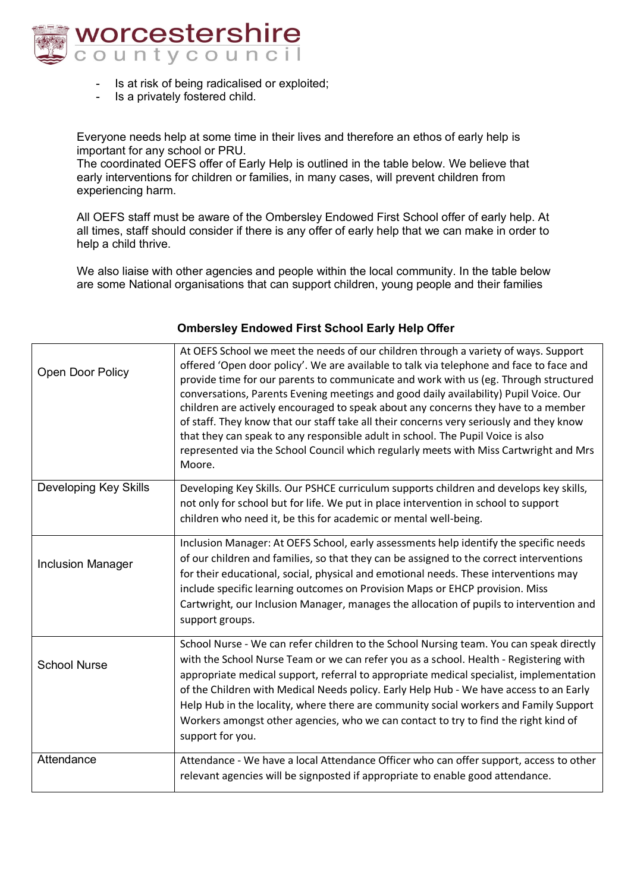

- Is at risk of being radicalised or exploited;
- Is a privately fostered child.

Everyone needs help at some time in their lives and therefore an ethos of early help is important for any school or PRU.

The coordinated OEFS offer of Early Help is outlined in the table below. We believe that early interventions for children or families, in many cases, will prevent children from experiencing harm.

All OEFS staff must be aware of the Ombersley Endowed First School offer of early help. At all times, staff should consider if there is any offer of early help that we can make in order to help a child thrive.

We also liaise with other agencies and people within the local community. In the table below are some National organisations that can support children, young people and their families

| Open Door Policy             | At OEFS School we meet the needs of our children through a variety of ways. Support<br>offered 'Open door policy'. We are available to talk via telephone and face to face and<br>provide time for our parents to communicate and work with us (eg. Through structured<br>conversations, Parents Evening meetings and good daily availability) Pupil Voice. Our<br>children are actively encouraged to speak about any concerns they have to a member<br>of staff. They know that our staff take all their concerns very seriously and they know<br>that they can speak to any responsible adult in school. The Pupil Voice is also<br>represented via the School Council which regularly meets with Miss Cartwright and Mrs<br>Moore. |
|------------------------------|----------------------------------------------------------------------------------------------------------------------------------------------------------------------------------------------------------------------------------------------------------------------------------------------------------------------------------------------------------------------------------------------------------------------------------------------------------------------------------------------------------------------------------------------------------------------------------------------------------------------------------------------------------------------------------------------------------------------------------------|
| <b>Developing Key Skills</b> | Developing Key Skills. Our PSHCE curriculum supports children and develops key skills,<br>not only for school but for life. We put in place intervention in school to support<br>children who need it, be this for academic or mental well-being.                                                                                                                                                                                                                                                                                                                                                                                                                                                                                      |
| <b>Inclusion Manager</b>     | Inclusion Manager: At OEFS School, early assessments help identify the specific needs<br>of our children and families, so that they can be assigned to the correct interventions<br>for their educational, social, physical and emotional needs. These interventions may<br>include specific learning outcomes on Provision Maps or EHCP provision. Miss<br>Cartwright, our Inclusion Manager, manages the allocation of pupils to intervention and<br>support groups.                                                                                                                                                                                                                                                                 |
| <b>School Nurse</b>          | School Nurse - We can refer children to the School Nursing team. You can speak directly<br>with the School Nurse Team or we can refer you as a school. Health - Registering with<br>appropriate medical support, referral to appropriate medical specialist, implementation<br>of the Children with Medical Needs policy. Early Help Hub - We have access to an Early<br>Help Hub in the locality, where there are community social workers and Family Support<br>Workers amongst other agencies, who we can contact to try to find the right kind of<br>support for you.                                                                                                                                                              |
| Attendance                   | Attendance - We have a local Attendance Officer who can offer support, access to other<br>relevant agencies will be signposted if appropriate to enable good attendance.                                                                                                                                                                                                                                                                                                                                                                                                                                                                                                                                                               |

### **Ombersley Endowed First School Early Help Offer**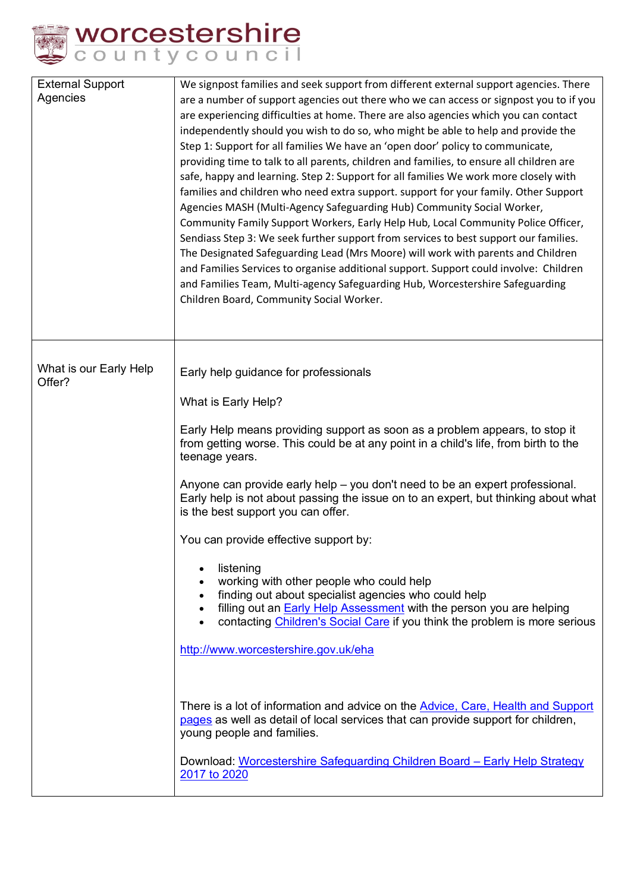

| We signpost families and seek support from different external support agencies. There<br>are a number of support agencies out there who we can access or signpost you to if you<br>are experiencing difficulties at home. There are also agencies which you can contact<br>independently should you wish to do so, who might be able to help and provide the<br>Step 1: Support for all families We have an 'open door' policy to communicate,<br>providing time to talk to all parents, children and families, to ensure all children are<br>safe, happy and learning. Step 2: Support for all families We work more closely with<br>families and children who need extra support. support for your family. Other Support<br>Agencies MASH (Multi-Agency Safeguarding Hub) Community Social Worker,<br>Community Family Support Workers, Early Help Hub, Local Community Police Officer,<br>Sendiass Step 3: We seek further support from services to best support our families.<br>The Designated Safeguarding Lead (Mrs Moore) will work with parents and Children<br>and Families Services to organise additional support. Support could involve: Children<br>and Families Team, Multi-agency Safeguarding Hub, Worcestershire Safeguarding<br>Children Board, Community Social Worker. |
|---------------------------------------------------------------------------------------------------------------------------------------------------------------------------------------------------------------------------------------------------------------------------------------------------------------------------------------------------------------------------------------------------------------------------------------------------------------------------------------------------------------------------------------------------------------------------------------------------------------------------------------------------------------------------------------------------------------------------------------------------------------------------------------------------------------------------------------------------------------------------------------------------------------------------------------------------------------------------------------------------------------------------------------------------------------------------------------------------------------------------------------------------------------------------------------------------------------------------------------------------------------------------------------------|
| Early help guidance for professionals                                                                                                                                                                                                                                                                                                                                                                                                                                                                                                                                                                                                                                                                                                                                                                                                                                                                                                                                                                                                                                                                                                                                                                                                                                                       |
| What is Early Help?                                                                                                                                                                                                                                                                                                                                                                                                                                                                                                                                                                                                                                                                                                                                                                                                                                                                                                                                                                                                                                                                                                                                                                                                                                                                         |
| Early Help means providing support as soon as a problem appears, to stop it<br>from getting worse. This could be at any point in a child's life, from birth to the<br>teenage years.                                                                                                                                                                                                                                                                                                                                                                                                                                                                                                                                                                                                                                                                                                                                                                                                                                                                                                                                                                                                                                                                                                        |
| Anyone can provide early help – you don't need to be an expert professional.<br>Early help is not about passing the issue on to an expert, but thinking about what<br>is the best support you can offer.                                                                                                                                                                                                                                                                                                                                                                                                                                                                                                                                                                                                                                                                                                                                                                                                                                                                                                                                                                                                                                                                                    |
| You can provide effective support by:                                                                                                                                                                                                                                                                                                                                                                                                                                                                                                                                                                                                                                                                                                                                                                                                                                                                                                                                                                                                                                                                                                                                                                                                                                                       |
| listening<br>working with other people who could help<br>finding out about specialist agencies who could help<br>٠<br>filling out an <b>Early Help Assessment</b> with the person you are helping<br>contacting Children's Social Care if you think the problem is more serious                                                                                                                                                                                                                                                                                                                                                                                                                                                                                                                                                                                                                                                                                                                                                                                                                                                                                                                                                                                                             |
| http://www.worcestershire.gov.uk/eha                                                                                                                                                                                                                                                                                                                                                                                                                                                                                                                                                                                                                                                                                                                                                                                                                                                                                                                                                                                                                                                                                                                                                                                                                                                        |
| There is a lot of information and advice on the Advice, Care, Health and Support<br>pages as well as detail of local services that can provide support for children,<br>young people and families.<br>Download: Worcestershire Safeguarding Children Board - Early Help Strategy<br>2017 to 2020                                                                                                                                                                                                                                                                                                                                                                                                                                                                                                                                                                                                                                                                                                                                                                                                                                                                                                                                                                                            |
|                                                                                                                                                                                                                                                                                                                                                                                                                                                                                                                                                                                                                                                                                                                                                                                                                                                                                                                                                                                                                                                                                                                                                                                                                                                                                             |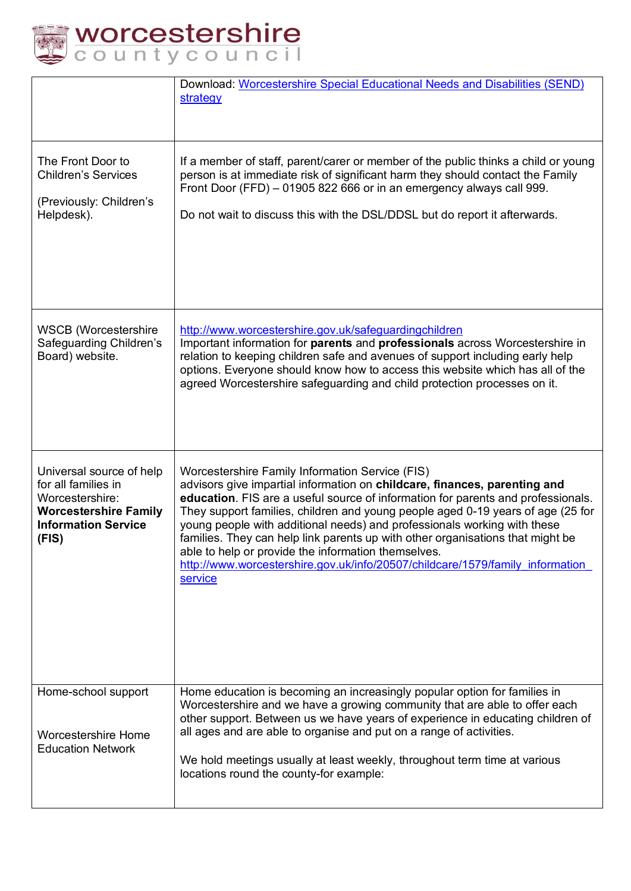

|  |  |  | <b>orcestershire</b> |  |  |
|--|--|--|----------------------|--|--|
|  |  |  | puntycouncil         |  |  |

|                                                                                                                                           | Download: Worcestershire Special Educational Needs and Disabilities (SEND)<br>strategy                                                                                                                                                                                                                                                                                                                                                                                                                                                                                                                               |
|-------------------------------------------------------------------------------------------------------------------------------------------|----------------------------------------------------------------------------------------------------------------------------------------------------------------------------------------------------------------------------------------------------------------------------------------------------------------------------------------------------------------------------------------------------------------------------------------------------------------------------------------------------------------------------------------------------------------------------------------------------------------------|
| The Front Door to<br><b>Children's Services</b><br>(Previously: Children's<br>Helpdesk).                                                  | If a member of staff, parent/carer or member of the public thinks a child or young<br>person is at immediate risk of significant harm they should contact the Family<br>Front Door (FFD) - 01905 822 666 or in an emergency always call 999.<br>Do not wait to discuss this with the DSL/DDSL but do report it afterwards.                                                                                                                                                                                                                                                                                           |
| <b>WSCB</b> (Worcestershire<br>Safeguarding Children's<br>Board) website.                                                                 | http://www.worcestershire.gov.uk/safeguardingchildren<br>Important information for parents and professionals across Worcestershire in<br>relation to keeping children safe and avenues of support including early help<br>options. Everyone should know how to access this website which has all of the<br>agreed Worcestershire safeguarding and child protection processes on it.                                                                                                                                                                                                                                  |
| Universal source of help<br>for all families in<br>Worcestershire:<br><b>Worcestershire Family</b><br><b>Information Service</b><br>(FIS) | Worcestershire Family Information Service (FIS)<br>advisors give impartial information on childcare, finances, parenting and<br>education. FIS are a useful source of information for parents and professionals.<br>They support families, children and young people aged 0-19 years of age (25 for<br>young people with additional needs) and professionals working with these<br>families. They can help link parents up with other organisations that might be<br>able to help or provide the information themselves.<br>http://www.worcestershire.gov.uk/info/20507/childcare/1579/family information<br>service |
| Home-school support<br><b>Worcestershire Home</b><br><b>Education Network</b>                                                             | Home education is becoming an increasingly popular option for families in<br>Worcestershire and we have a growing community that are able to offer each<br>other support. Between us we have years of experience in educating children of<br>all ages and are able to organise and put on a range of activities.<br>We hold meetings usually at least weekly, throughout term time at various<br>locations round the county-for example:                                                                                                                                                                             |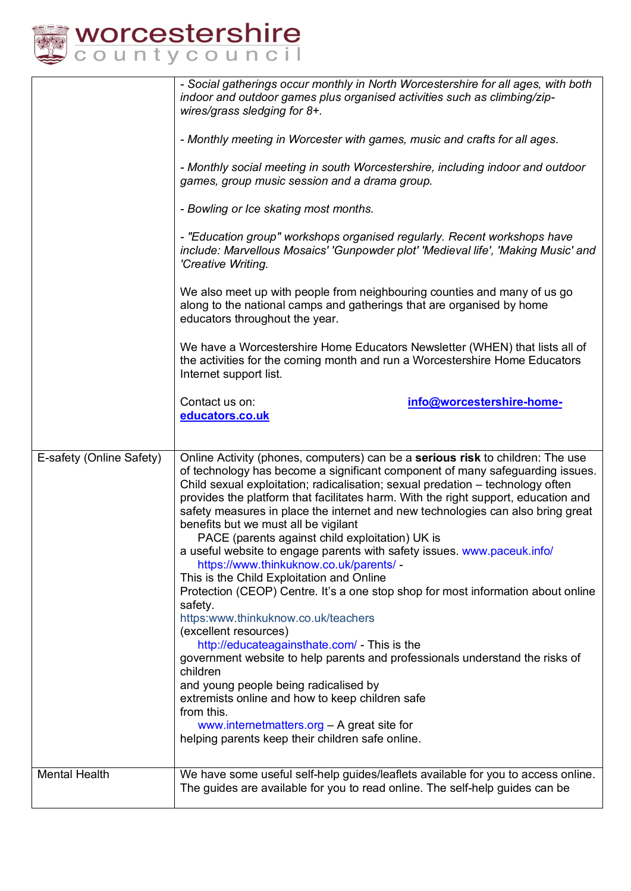

|                          | - Social gatherings occur monthly in North Worcestershire for all ages, with both<br>indoor and outdoor games plus organised activities such as climbing/zip-<br>wires/grass sledging for 8+.                                                                                                                                                                                                                                                                                                                                                                                                                                                                                                                                                                                                                                                                                                                                                                                                                                                                                                   |
|--------------------------|-------------------------------------------------------------------------------------------------------------------------------------------------------------------------------------------------------------------------------------------------------------------------------------------------------------------------------------------------------------------------------------------------------------------------------------------------------------------------------------------------------------------------------------------------------------------------------------------------------------------------------------------------------------------------------------------------------------------------------------------------------------------------------------------------------------------------------------------------------------------------------------------------------------------------------------------------------------------------------------------------------------------------------------------------------------------------------------------------|
|                          | - Monthly meeting in Worcester with games, music and crafts for all ages.                                                                                                                                                                                                                                                                                                                                                                                                                                                                                                                                                                                                                                                                                                                                                                                                                                                                                                                                                                                                                       |
|                          | - Monthly social meeting in south Worcestershire, including indoor and outdoor<br>games, group music session and a drama group.                                                                                                                                                                                                                                                                                                                                                                                                                                                                                                                                                                                                                                                                                                                                                                                                                                                                                                                                                                 |
|                          | - Bowling or Ice skating most months.                                                                                                                                                                                                                                                                                                                                                                                                                                                                                                                                                                                                                                                                                                                                                                                                                                                                                                                                                                                                                                                           |
|                          | - "Education group" workshops organised regularly. Recent workshops have<br>include: Marvellous Mosaics' 'Gunpowder plot' 'Medieval life', 'Making Music' and<br>'Creative Writing.                                                                                                                                                                                                                                                                                                                                                                                                                                                                                                                                                                                                                                                                                                                                                                                                                                                                                                             |
|                          | We also meet up with people from neighbouring counties and many of us go<br>along to the national camps and gatherings that are organised by home<br>educators throughout the year.                                                                                                                                                                                                                                                                                                                                                                                                                                                                                                                                                                                                                                                                                                                                                                                                                                                                                                             |
|                          | We have a Worcestershire Home Educators Newsletter (WHEN) that lists all of<br>the activities for the coming month and run a Worcestershire Home Educators<br>Internet support list.                                                                                                                                                                                                                                                                                                                                                                                                                                                                                                                                                                                                                                                                                                                                                                                                                                                                                                            |
|                          | Contact us on:<br>info@worcestershire-home-<br>educators.co.uk                                                                                                                                                                                                                                                                                                                                                                                                                                                                                                                                                                                                                                                                                                                                                                                                                                                                                                                                                                                                                                  |
|                          |                                                                                                                                                                                                                                                                                                                                                                                                                                                                                                                                                                                                                                                                                                                                                                                                                                                                                                                                                                                                                                                                                                 |
| E-safety (Online Safety) | Online Activity (phones, computers) can be a serious risk to children: The use<br>of technology has become a significant component of many safeguarding issues.<br>Child sexual exploitation; radicalisation; sexual predation - technology often<br>provides the platform that facilitates harm. With the right support, education and<br>safety measures in place the internet and new technologies can also bring great<br>benefits but we must all be vigilant<br>PACE (parents against child exploitation) UK is<br>a useful website to engage parents with safety issues. www.paceuk.info/<br>https://www.thinkuknow.co.uk/parents/ -<br>This is the Child Exploitation and Online<br>Protection (CEOP) Centre. It's a one stop shop for most information about online<br>safety.<br>https:www.thinkuknow.co.uk/teachers<br>(excellent resources)<br>http://educateagainsthate.com/ - This is the<br>government website to help parents and professionals understand the risks of<br>children<br>and young people being radicalised by<br>extremists online and how to keep children safe |
|                          | from this.<br>www.internetmatters.org - A great site for<br>helping parents keep their children safe online.                                                                                                                                                                                                                                                                                                                                                                                                                                                                                                                                                                                                                                                                                                                                                                                                                                                                                                                                                                                    |
|                          |                                                                                                                                                                                                                                                                                                                                                                                                                                                                                                                                                                                                                                                                                                                                                                                                                                                                                                                                                                                                                                                                                                 |
| <b>Mental Health</b>     | We have some useful self-help guides/leaflets available for you to access online.<br>The guides are available for you to read online. The self-help guides can be                                                                                                                                                                                                                                                                                                                                                                                                                                                                                                                                                                                                                                                                                                                                                                                                                                                                                                                               |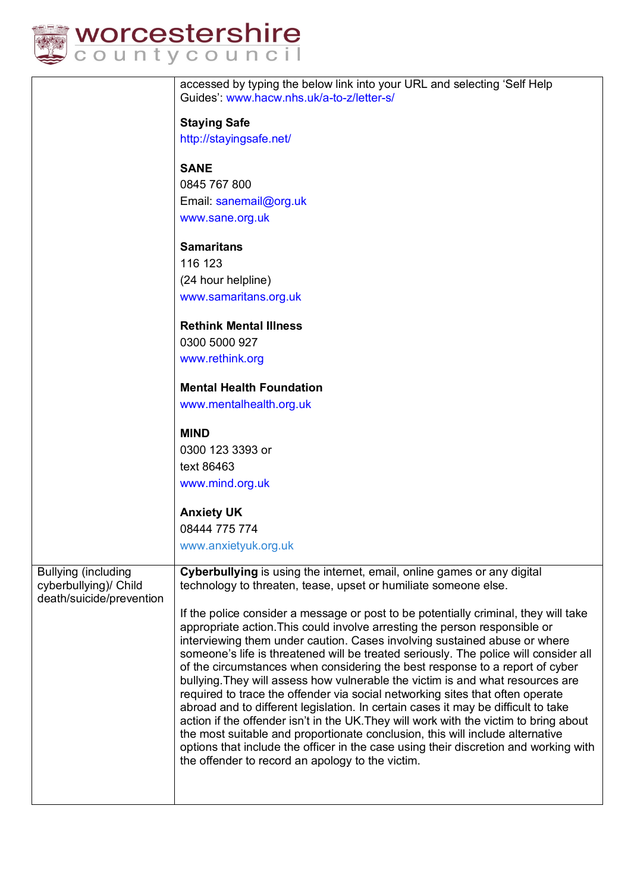

|  |  |  | <i>v</i> orcestershire |  |  |
|--|--|--|------------------------|--|--|
|  |  |  | ountycouncil           |  |  |

|                                                                                 | accessed by typing the below link into your URL and selecting 'Self Help<br>Guides': www.hacw.nhs.uk/a-to-z/letter-s/                                                                                                                                                                                                                                                                                                                                                                                                                                                                                                                                                                                                                                                                                                                                                                                                                                                                                |
|---------------------------------------------------------------------------------|------------------------------------------------------------------------------------------------------------------------------------------------------------------------------------------------------------------------------------------------------------------------------------------------------------------------------------------------------------------------------------------------------------------------------------------------------------------------------------------------------------------------------------------------------------------------------------------------------------------------------------------------------------------------------------------------------------------------------------------------------------------------------------------------------------------------------------------------------------------------------------------------------------------------------------------------------------------------------------------------------|
|                                                                                 | <b>Staying Safe</b>                                                                                                                                                                                                                                                                                                                                                                                                                                                                                                                                                                                                                                                                                                                                                                                                                                                                                                                                                                                  |
|                                                                                 | http://stayingsafe.net/                                                                                                                                                                                                                                                                                                                                                                                                                                                                                                                                                                                                                                                                                                                                                                                                                                                                                                                                                                              |
|                                                                                 |                                                                                                                                                                                                                                                                                                                                                                                                                                                                                                                                                                                                                                                                                                                                                                                                                                                                                                                                                                                                      |
|                                                                                 | <b>SANE</b>                                                                                                                                                                                                                                                                                                                                                                                                                                                                                                                                                                                                                                                                                                                                                                                                                                                                                                                                                                                          |
|                                                                                 | 0845 767 800                                                                                                                                                                                                                                                                                                                                                                                                                                                                                                                                                                                                                                                                                                                                                                                                                                                                                                                                                                                         |
|                                                                                 | Email: sanemail@org.uk                                                                                                                                                                                                                                                                                                                                                                                                                                                                                                                                                                                                                                                                                                                                                                                                                                                                                                                                                                               |
|                                                                                 | www.sane.org.uk                                                                                                                                                                                                                                                                                                                                                                                                                                                                                                                                                                                                                                                                                                                                                                                                                                                                                                                                                                                      |
|                                                                                 | <b>Samaritans</b>                                                                                                                                                                                                                                                                                                                                                                                                                                                                                                                                                                                                                                                                                                                                                                                                                                                                                                                                                                                    |
|                                                                                 | 116 123                                                                                                                                                                                                                                                                                                                                                                                                                                                                                                                                                                                                                                                                                                                                                                                                                                                                                                                                                                                              |
|                                                                                 | (24 hour helpline)                                                                                                                                                                                                                                                                                                                                                                                                                                                                                                                                                                                                                                                                                                                                                                                                                                                                                                                                                                                   |
|                                                                                 | www.samaritans.org.uk                                                                                                                                                                                                                                                                                                                                                                                                                                                                                                                                                                                                                                                                                                                                                                                                                                                                                                                                                                                |
|                                                                                 | <b>Rethink Mental Illness</b>                                                                                                                                                                                                                                                                                                                                                                                                                                                                                                                                                                                                                                                                                                                                                                                                                                                                                                                                                                        |
|                                                                                 | 0300 5000 927                                                                                                                                                                                                                                                                                                                                                                                                                                                                                                                                                                                                                                                                                                                                                                                                                                                                                                                                                                                        |
|                                                                                 | www.rethink.org                                                                                                                                                                                                                                                                                                                                                                                                                                                                                                                                                                                                                                                                                                                                                                                                                                                                                                                                                                                      |
|                                                                                 | <b>Mental Health Foundation</b>                                                                                                                                                                                                                                                                                                                                                                                                                                                                                                                                                                                                                                                                                                                                                                                                                                                                                                                                                                      |
|                                                                                 | www.mentalhealth.org.uk                                                                                                                                                                                                                                                                                                                                                                                                                                                                                                                                                                                                                                                                                                                                                                                                                                                                                                                                                                              |
|                                                                                 | <b>MIND</b>                                                                                                                                                                                                                                                                                                                                                                                                                                                                                                                                                                                                                                                                                                                                                                                                                                                                                                                                                                                          |
|                                                                                 | 0300 123 3393 or                                                                                                                                                                                                                                                                                                                                                                                                                                                                                                                                                                                                                                                                                                                                                                                                                                                                                                                                                                                     |
|                                                                                 | text 86463                                                                                                                                                                                                                                                                                                                                                                                                                                                                                                                                                                                                                                                                                                                                                                                                                                                                                                                                                                                           |
|                                                                                 | www.mind.org.uk                                                                                                                                                                                                                                                                                                                                                                                                                                                                                                                                                                                                                                                                                                                                                                                                                                                                                                                                                                                      |
|                                                                                 | <b>Anxiety UK</b>                                                                                                                                                                                                                                                                                                                                                                                                                                                                                                                                                                                                                                                                                                                                                                                                                                                                                                                                                                                    |
|                                                                                 | 08444 775 774                                                                                                                                                                                                                                                                                                                                                                                                                                                                                                                                                                                                                                                                                                                                                                                                                                                                                                                                                                                        |
|                                                                                 | www.anxietyuk.org.uk                                                                                                                                                                                                                                                                                                                                                                                                                                                                                                                                                                                                                                                                                                                                                                                                                                                                                                                                                                                 |
| <b>Bullying (including</b><br>cyberbullying)/ Child<br>death/suicide/prevention | Cyberbullying is using the internet, email, online games or any digital<br>technology to threaten, tease, upset or humiliate someone else.                                                                                                                                                                                                                                                                                                                                                                                                                                                                                                                                                                                                                                                                                                                                                                                                                                                           |
|                                                                                 | If the police consider a message or post to be potentially criminal, they will take<br>appropriate action. This could involve arresting the person responsible or<br>interviewing them under caution. Cases involving sustained abuse or where<br>someone's life is threatened will be treated seriously. The police will consider all<br>of the circumstances when considering the best response to a report of cyber<br>bullying. They will assess how vulnerable the victim is and what resources are<br>required to trace the offender via social networking sites that often operate<br>abroad and to different legislation. In certain cases it may be difficult to take<br>action if the offender isn't in the UK. They will work with the victim to bring about<br>the most suitable and proportionate conclusion, this will include alternative<br>options that include the officer in the case using their discretion and working with<br>the offender to record an apology to the victim. |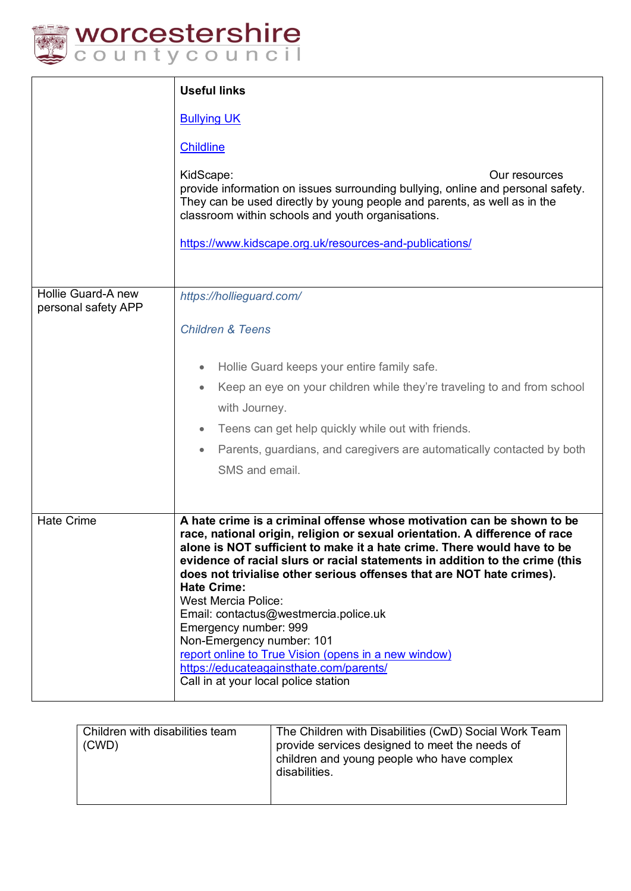

|                                           | <b>Useful links</b>                                                                                                                                                                                                                                                                                                                                                                                                                                                                                                                                                                                                                                                                     |  |  |  |  |  |
|-------------------------------------------|-----------------------------------------------------------------------------------------------------------------------------------------------------------------------------------------------------------------------------------------------------------------------------------------------------------------------------------------------------------------------------------------------------------------------------------------------------------------------------------------------------------------------------------------------------------------------------------------------------------------------------------------------------------------------------------------|--|--|--|--|--|
|                                           | <b>Bullying UK</b>                                                                                                                                                                                                                                                                                                                                                                                                                                                                                                                                                                                                                                                                      |  |  |  |  |  |
|                                           | <b>Childline</b>                                                                                                                                                                                                                                                                                                                                                                                                                                                                                                                                                                                                                                                                        |  |  |  |  |  |
|                                           | KidScape:<br>Our resources<br>provide information on issues surrounding bullying, online and personal safety.<br>They can be used directly by young people and parents, as well as in the<br>classroom within schools and youth organisations.                                                                                                                                                                                                                                                                                                                                                                                                                                          |  |  |  |  |  |
|                                           | https://www.kidscape.org.uk/resources-and-publications/                                                                                                                                                                                                                                                                                                                                                                                                                                                                                                                                                                                                                                 |  |  |  |  |  |
|                                           |                                                                                                                                                                                                                                                                                                                                                                                                                                                                                                                                                                                                                                                                                         |  |  |  |  |  |
| Hollie Guard-A new<br>personal safety APP | https://hollieguard.com/                                                                                                                                                                                                                                                                                                                                                                                                                                                                                                                                                                                                                                                                |  |  |  |  |  |
|                                           | <b>Children &amp; Teens</b>                                                                                                                                                                                                                                                                                                                                                                                                                                                                                                                                                                                                                                                             |  |  |  |  |  |
|                                           | Hollie Guard keeps your entire family safe.<br>$\bullet$                                                                                                                                                                                                                                                                                                                                                                                                                                                                                                                                                                                                                                |  |  |  |  |  |
|                                           | Keep an eye on your children while they're traveling to and from school<br>$\bullet$                                                                                                                                                                                                                                                                                                                                                                                                                                                                                                                                                                                                    |  |  |  |  |  |
|                                           | with Journey.                                                                                                                                                                                                                                                                                                                                                                                                                                                                                                                                                                                                                                                                           |  |  |  |  |  |
|                                           | Teens can get help quickly while out with friends.<br>$\bullet$                                                                                                                                                                                                                                                                                                                                                                                                                                                                                                                                                                                                                         |  |  |  |  |  |
|                                           | Parents, guardians, and caregivers are automatically contacted by both<br>$\bullet$                                                                                                                                                                                                                                                                                                                                                                                                                                                                                                                                                                                                     |  |  |  |  |  |
|                                           | SMS and email.                                                                                                                                                                                                                                                                                                                                                                                                                                                                                                                                                                                                                                                                          |  |  |  |  |  |
|                                           |                                                                                                                                                                                                                                                                                                                                                                                                                                                                                                                                                                                                                                                                                         |  |  |  |  |  |
| <b>Hate Crime</b>                         | A hate crime is a criminal offense whose motivation can be shown to be<br>race, national origin, religion or sexual orientation. A difference of race<br>alone is NOT sufficient to make it a hate crime. There would have to be<br>evidence of racial slurs or racial statements in addition to the crime (this<br>does not trivialise other serious offenses that are NOT hate crimes).<br><b>Hate Crime:</b><br><b>West Mercia Police:</b><br>Email: contactus@westmercia.police.uk<br>Emergency number: 999<br>Non-Emergency number: 101<br>report online to True Vision (opens in a new window)<br>https://educateagainsthate.com/parents/<br>Call in at your local police station |  |  |  |  |  |

| Children with disabilities team<br>(CWD) | The Children with Disabilities (CwD) Social Work Team<br>provide services designed to meet the needs of<br>children and young people who have complex<br>disabilities. |
|------------------------------------------|------------------------------------------------------------------------------------------------------------------------------------------------------------------------|
|                                          |                                                                                                                                                                        |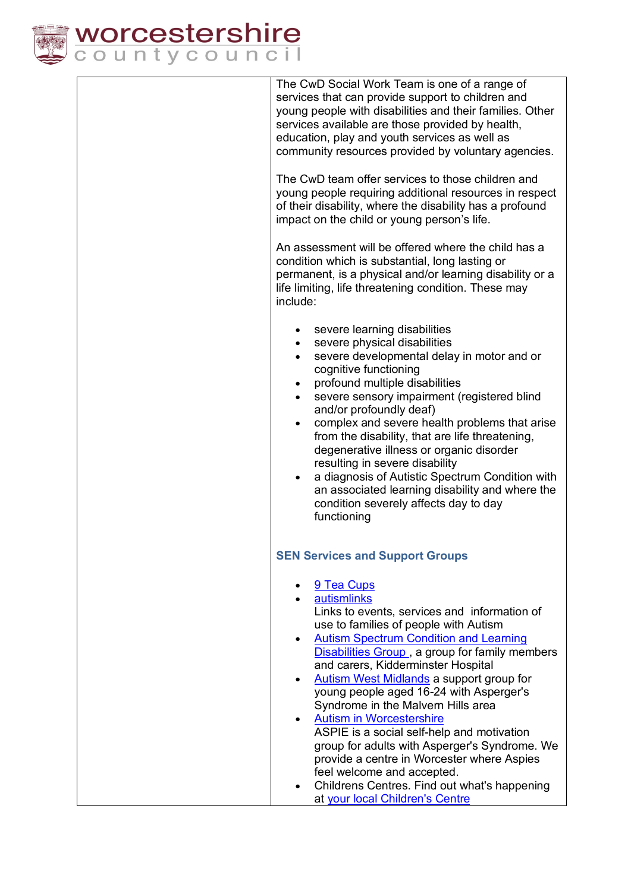

The CwD Social Work Team is one of a range of services that can provide support to children and young people with disabilities and their families. Other services available are those provided by health. education, play and youth services as well as community resources provided by voluntary agencies. The CwD team offer services to those children and young people requiring additional resources in respect of their disability, where the disability has a profound impact on the child or young person's life. An assessment will be offered where the child has a condition which is substantial, long lasting or permanent, is a physical and/or learning disability or a life limiting, life threatening condition. These may include: • severe learning disabilities • severe physical disabilities severe developmental delay in motor and or cognitive functioning • profound multiple disabilities • severe sensory impairment (registered blind and/or profoundly deaf) • complex and severe health problems that arise from the disability, that are life threatening, degenerative illness or organic disorder resulting in severe disability a diagnosis of Autistic Spectrum Condition with an associated learning disability and where the condition severely affects day to day functioning **SEN Services and Support Groups** • 9 Tea Cups • autismlinks Links to events, services and information of use to families of people with Autism • Autism Spectrum Condition and Learning Disabilities Group , a group for family members and carers, Kidderminster Hospital • Autism West Midlands a support group for young people aged 16-24 with Asperger's Syndrome in the Malvern Hills area • Autism in Worcestershire ASPIE is a social self-help and motivation group for adults with Asperger's Syndrome. We provide a centre in Worcester where Aspies feel welcome and accepted. • Childrens Centres. Find out what's happening at your local Children's Centre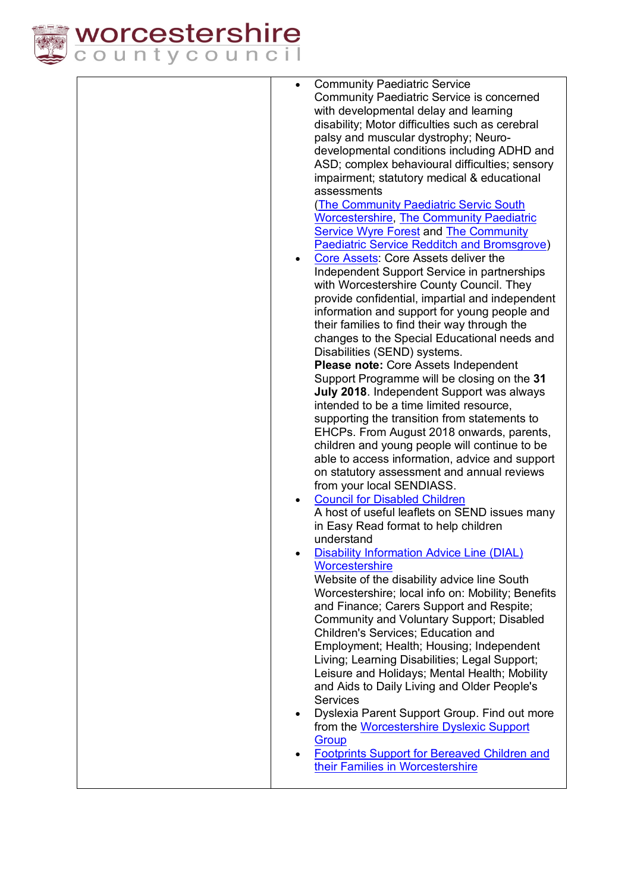

| $\bullet$ | <b>Community Paediatric Service</b>                                                           |
|-----------|-----------------------------------------------------------------------------------------------|
|           | <b>Community Paediatric Service is concerned</b>                                              |
|           | with developmental delay and learning                                                         |
|           | disability; Motor difficulties such as cerebral                                               |
|           | palsy and muscular dystrophy; Neuro-                                                          |
|           | developmental conditions including ADHD and                                                   |
|           | ASD; complex behavioural difficulties; sensory                                                |
|           | impairment; statutory medical & educational                                                   |
|           | assessments                                                                                   |
|           | <b>The Community Paediatric Servic South</b>                                                  |
|           | <b>Worcestershire, The Community Paediatric</b>                                               |
|           | <b>Service Wyre Forest and The Community</b>                                                  |
|           | <b>Paediatric Service Redditch and Bromsgrove)</b><br>Core Assets: Core Assets deliver the    |
| $\bullet$ |                                                                                               |
|           | Independent Support Service in partnerships<br>with Worcestershire County Council. They       |
|           | provide confidential, impartial and independent                                               |
|           | information and support for young people and                                                  |
|           | their families to find their way through the                                                  |
|           | changes to the Special Educational needs and                                                  |
|           | Disabilities (SEND) systems.                                                                  |
|           | Please note: Core Assets Independent                                                          |
|           | Support Programme will be closing on the 31                                                   |
|           | July 2018. Independent Support was always                                                     |
|           | intended to be a time limited resource,                                                       |
|           | supporting the transition from statements to                                                  |
|           | EHCPs. From August 2018 onwards, parents,                                                     |
|           | children and young people will continue to be                                                 |
|           | able to access information, advice and support                                                |
|           | on statutory assessment and annual reviews                                                    |
|           | from your local SENDIASS.                                                                     |
| $\bullet$ | <b>Council for Disabled Children</b>                                                          |
|           | A host of useful leaflets on SEND issues many                                                 |
|           | in Easy Read format to help children                                                          |
|           | understand                                                                                    |
|           | <b>Disability Information Advice Line (DIAL)</b>                                              |
|           | Worcestershire                                                                                |
|           | Website of the disability advice line South                                                   |
|           | Worcestershire; local info on: Mobility; Benefits<br>and Finance; Carers Support and Respite; |
|           |                                                                                               |
|           | Community and Voluntary Support; Disabled<br>Children's Services; Education and               |
|           | Employment; Health; Housing; Independent                                                      |
|           | Living; Learning Disabilities; Legal Support;                                                 |
|           | Leisure and Holidays; Mental Health; Mobility                                                 |
|           | and Aids to Daily Living and Older People's                                                   |
|           | <b>Services</b>                                                                               |
| $\bullet$ | Dyslexia Parent Support Group. Find out more                                                  |
|           | from the Worcestershire Dyslexic Support                                                      |
|           | Group                                                                                         |
| $\bullet$ | <b>Footprints Support for Bereaved Children and</b>                                           |
|           | their Families in Worcestershire                                                              |
|           |                                                                                               |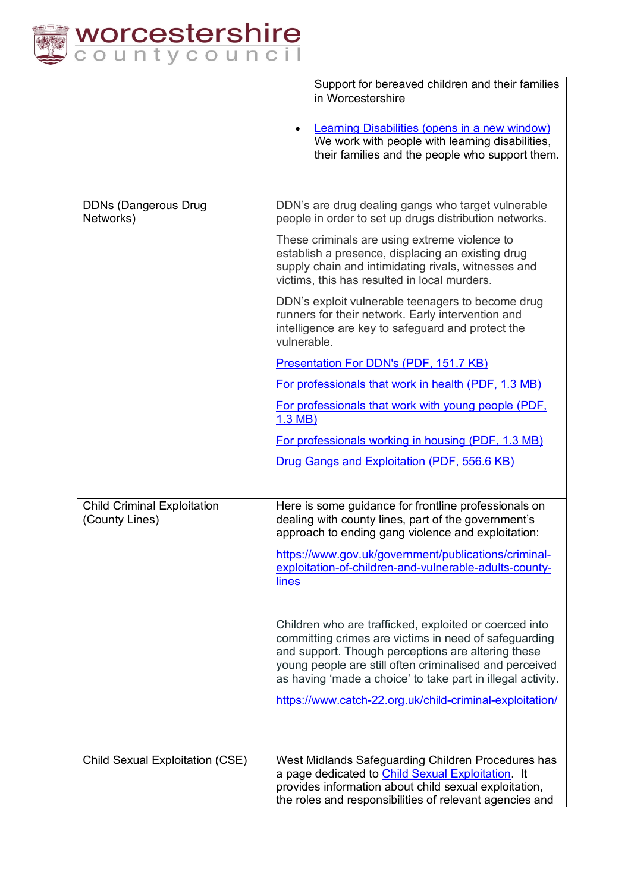

|                                                      | Support for bereaved children and their families<br>in Worcestershire<br><b>Learning Disabilities (opens in a new window)</b><br>We work with people with learning disabilities,<br>their families and the people who support them.                                                             |
|------------------------------------------------------|-------------------------------------------------------------------------------------------------------------------------------------------------------------------------------------------------------------------------------------------------------------------------------------------------|
| <b>DDNs (Dangerous Drug</b><br>Networks)             | DDN's are drug dealing gangs who target vulnerable<br>people in order to set up drugs distribution networks.                                                                                                                                                                                    |
|                                                      | These criminals are using extreme violence to<br>establish a presence, displacing an existing drug<br>supply chain and intimidating rivals, witnesses and<br>victims, this has resulted in local murders.                                                                                       |
|                                                      | DDN's exploit vulnerable teenagers to become drug<br>runners for their network. Early intervention and<br>intelligence are key to safeguard and protect the<br>vulnerable.                                                                                                                      |
|                                                      | Presentation For DDN's (PDF, 151.7 KB)                                                                                                                                                                                                                                                          |
|                                                      | For professionals that work in health (PDF, 1.3 MB)                                                                                                                                                                                                                                             |
|                                                      | For professionals that work with young people (PDF,<br>$1.3$ MB)                                                                                                                                                                                                                                |
|                                                      | For professionals working in housing (PDF, 1.3 MB)                                                                                                                                                                                                                                              |
|                                                      | Drug Gangs and Exploitation (PDF, 556.6 KB)                                                                                                                                                                                                                                                     |
|                                                      |                                                                                                                                                                                                                                                                                                 |
| <b>Child Criminal Exploitation</b><br>(County Lines) | Here is some guidance for frontline professionals on<br>dealing with county lines, part of the government's<br>approach to ending gang violence and exploitation:                                                                                                                               |
|                                                      | https://www.gov.uk/government/publications/criminal-<br>exploitation-of-children-and-vulnerable-adults-county-<br>lines                                                                                                                                                                         |
|                                                      | Children who are trafficked, exploited or coerced into<br>committing crimes are victims in need of safeguarding<br>and support. Though perceptions are altering these<br>young people are still often criminalised and perceived<br>as having 'made a choice' to take part in illegal activity. |
|                                                      | https://www.catch-22.org.uk/child-criminal-exploitation/                                                                                                                                                                                                                                        |
| Child Sexual Exploitation (CSE)                      | West Midlands Safeguarding Children Procedures has<br>a page dedicated to Child Sexual Exploitation It<br>provides information about child sexual exploitation,<br>the roles and responsibilities of relevant agencies and                                                                      |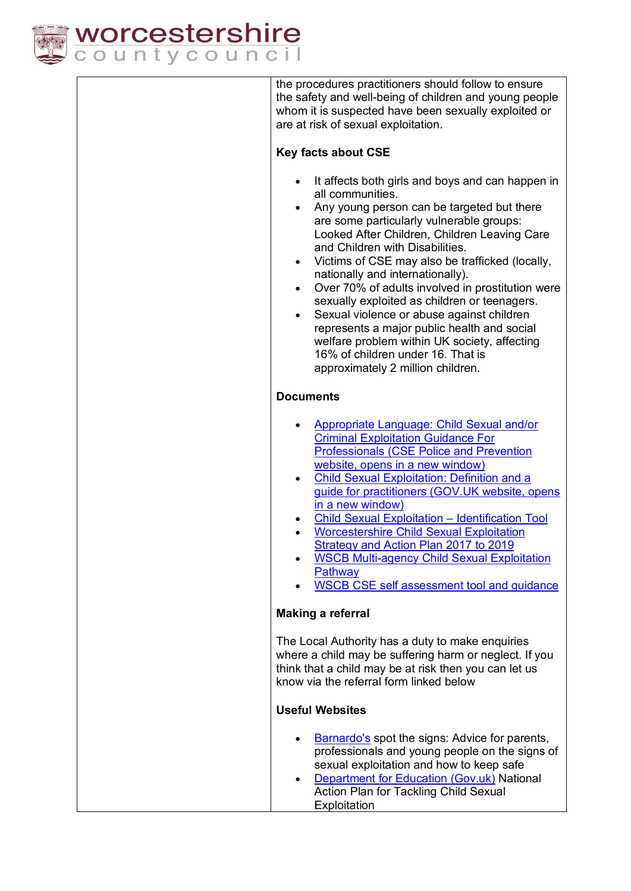

the procedures practitioners should follow to ensure the safety and well-being of children and young people whom it is suspected have been sexually exploited or are at risk of sexual exploitation.

### **Key facts about CSE**

- It affects both girls and boys and can happen in all communities.
- Any young person can be targeted but there are some particularly vulnerable groups: Looked After Children, Children Leaving Care and Children with Disabilities.
- Victims of CSE may also be trafficked (locally, nationally and internationally).
- Over 70% of adults involved in prostitution were sexually exploited as children or teenagers.
- Sexual violence or abuse against children represents a major public health and social welfare problem within UK society, affecting 16% of children under 16. That is approximately 2 million children.

### **Documents**

| $\bullet$ | Appropriate Language: Child Sexual and/or       |
|-----------|-------------------------------------------------|
|           | <b>Criminal Exploitation Guidance For</b>       |
|           | <b>Professionals (CSE Police and Prevention</b> |
|           | website, opens in a new window)                 |

- Child Sexual Exploitation: Definition and a guide for practitioners (GOV.UK website, opens in a new window)
- Child Sexual Exploitation Identification Tool
- Worcestershire Child Sexual Exploitation Strategy and Action Plan 2017 to 2019
- WSCB Multi-agency Child Sexual Exploitation **Pathway**
- WSCB CSE self assessment tool and guidance

### **Making a referral**

The Local Authority has a duty to make enquiries where a child may be suffering harm or neglect. If you think that a child may be at risk then you can let us know via the referral form linked below

### **Useful Websites**

- Barnardo's spot the signs: Advice for parents, professionals and young people on the signs of sexual exploitation and how to keep safe • Department for Education (Gov.uk) National Action Plan for Tackling Child Sexual
	- **Exploitation**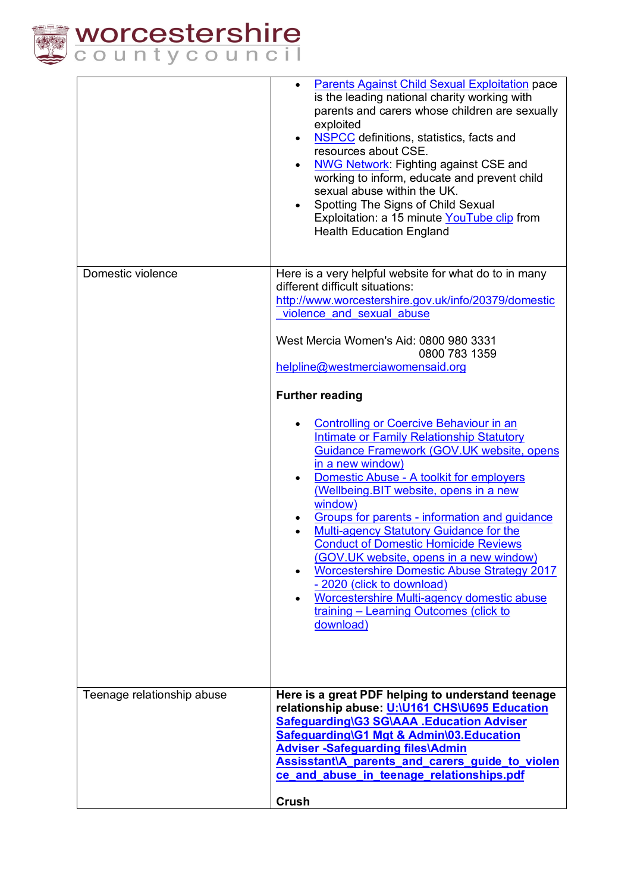

|                            | <b>Parents Against Child Sexual Exploitation pace</b><br>$\bullet$<br>is the leading national charity working with<br>parents and carers whose children are sexually<br>exploited<br><b>NSPCC</b> definitions, statistics, facts and<br>$\bullet$<br>resources about CSE.<br><b>NWG Network: Fighting against CSE and</b><br>working to inform, educate and prevent child<br>sexual abuse within the UK.<br>Spotting The Signs of Child Sexual<br>Exploitation: a 15 minute YouTube clip from<br><b>Health Education England</b>                                                                                                                          |  |
|----------------------------|-----------------------------------------------------------------------------------------------------------------------------------------------------------------------------------------------------------------------------------------------------------------------------------------------------------------------------------------------------------------------------------------------------------------------------------------------------------------------------------------------------------------------------------------------------------------------------------------------------------------------------------------------------------|--|
| Domestic violence          | Here is a very helpful website for what do to in many                                                                                                                                                                                                                                                                                                                                                                                                                                                                                                                                                                                                     |  |
|                            | different difficult situations:                                                                                                                                                                                                                                                                                                                                                                                                                                                                                                                                                                                                                           |  |
|                            | http://www.worcestershire.gov.uk/info/20379/domestic                                                                                                                                                                                                                                                                                                                                                                                                                                                                                                                                                                                                      |  |
|                            | violence and sexual abuse                                                                                                                                                                                                                                                                                                                                                                                                                                                                                                                                                                                                                                 |  |
|                            | West Mercia Women's Aid: 0800 980 3331                                                                                                                                                                                                                                                                                                                                                                                                                                                                                                                                                                                                                    |  |
|                            | 0800 783 1359                                                                                                                                                                                                                                                                                                                                                                                                                                                                                                                                                                                                                                             |  |
|                            | helpline@westmerciawomensaid.org                                                                                                                                                                                                                                                                                                                                                                                                                                                                                                                                                                                                                          |  |
|                            |                                                                                                                                                                                                                                                                                                                                                                                                                                                                                                                                                                                                                                                           |  |
|                            | <b>Further reading</b>                                                                                                                                                                                                                                                                                                                                                                                                                                                                                                                                                                                                                                    |  |
|                            | Controlling or Coercive Behaviour in an<br><b>Intimate or Family Relationship Statutory</b><br>Guidance Framework (GOV.UK website, opens<br>in a new window)<br>Domestic Abuse - A toolkit for employers<br>٠<br>(Wellbeing. BIT website, opens in a new<br>window)<br>Groups for parents - information and guidance<br><b>Multi-agency Statutory Guidance for the</b><br><b>Conduct of Domestic Homicide Reviews</b><br>(GOV.UK website, opens in a new window)<br><b>Worcestershire Domestic Abuse Strategy 2017</b><br>- 2020 (click to download)<br>Worcestershire Multi-agency domestic abuse<br>training - Learning Outcomes (click to<br>download) |  |
| Teenage relationship abuse | Here is a great PDF helping to understand teenage<br>relationship abuse: U:\U161 CHS\U695 Education<br>Safeguarding\G3 SG\AAA .Education Adviser<br>Safeguarding\G1 Mgt & Admin\03.Education<br><b>Adviser-Safeguarding files\Admin</b><br>Assisstant\A parents and carers guide to violen<br>ce and abuse in teenage relationships.pdf                                                                                                                                                                                                                                                                                                                   |  |
|                            |                                                                                                                                                                                                                                                                                                                                                                                                                                                                                                                                                                                                                                                           |  |
|                            | Crush                                                                                                                                                                                                                                                                                                                                                                                                                                                                                                                                                                                                                                                     |  |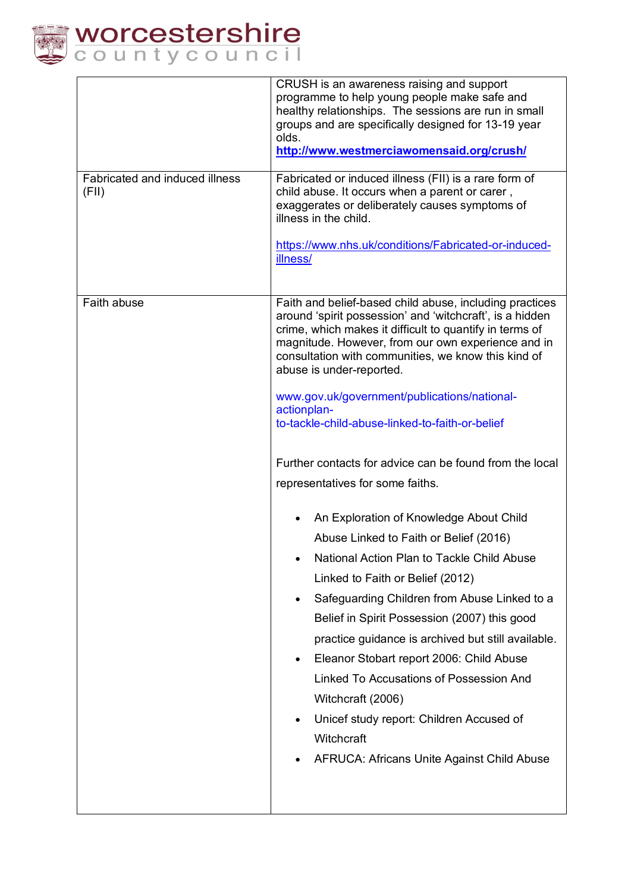

|                                         | CRUSH is an awareness raising and support<br>programme to help young people make safe and<br>healthy relationships. The sessions are run in small<br>groups and are specifically designed for 13-19 year<br>olds.<br>http://www.westmerciawomensaid.org/crush/                                                                                                                                                                                                                                                                                                                                                                                                                                                                                                                                                                                                                                                                                                                                                                                                                                   |  |
|-----------------------------------------|--------------------------------------------------------------------------------------------------------------------------------------------------------------------------------------------------------------------------------------------------------------------------------------------------------------------------------------------------------------------------------------------------------------------------------------------------------------------------------------------------------------------------------------------------------------------------------------------------------------------------------------------------------------------------------------------------------------------------------------------------------------------------------------------------------------------------------------------------------------------------------------------------------------------------------------------------------------------------------------------------------------------------------------------------------------------------------------------------|--|
| Fabricated and induced illness<br>(FII) | Fabricated or induced illness (FII) is a rare form of<br>child abuse. It occurs when a parent or carer,<br>exaggerates or deliberately causes symptoms of<br>illness in the child.<br>https://www.nhs.uk/conditions/Fabricated-or-induced-<br>illness/                                                                                                                                                                                                                                                                                                                                                                                                                                                                                                                                                                                                                                                                                                                                                                                                                                           |  |
| Faith abuse                             | Faith and belief-based child abuse, including practices<br>around 'spirit possession' and 'witchcraft', is a hidden<br>crime, which makes it difficult to quantify in terms of<br>magnitude. However, from our own experience and in<br>consultation with communities, we know this kind of<br>abuse is under-reported.<br>www.gov.uk/government/publications/national-<br>actionplan-<br>to-tackle-child-abuse-linked-to-faith-or-belief<br>Further contacts for advice can be found from the local<br>representatives for some faiths.<br>An Exploration of Knowledge About Child<br>Abuse Linked to Faith or Belief (2016)<br>National Action Plan to Tackle Child Abuse<br>Linked to Faith or Belief (2012)<br>Safeguarding Children from Abuse Linked to a<br>Belief in Spirit Possession (2007) this good<br>practice guidance is archived but still available.<br>Eleanor Stobart report 2006: Child Abuse<br>Linked To Accusations of Possession And<br>Witchcraft (2006)<br>Unicef study report: Children Accused of<br>Witchcraft<br><b>AFRUCA: Africans Unite Against Child Abuse</b> |  |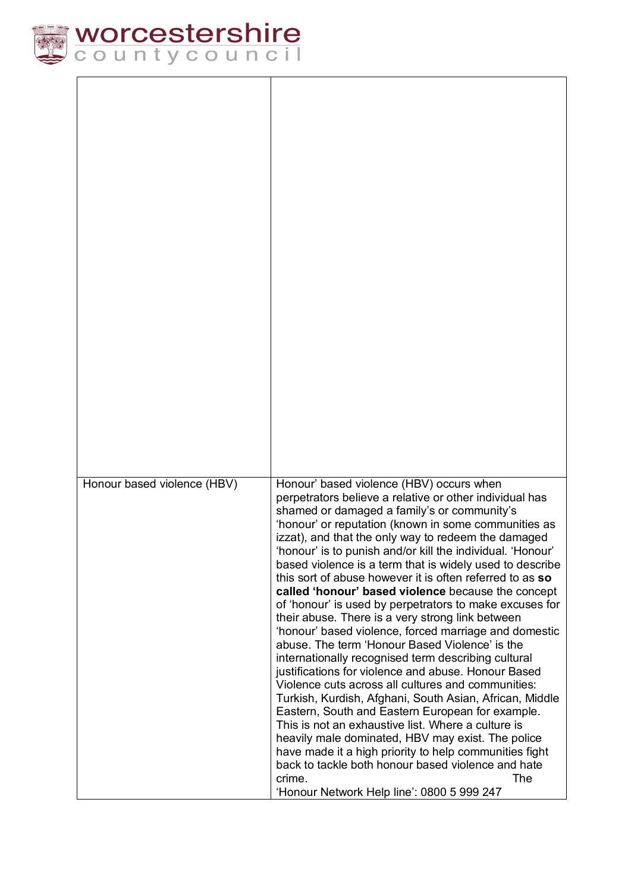

| Honour based violence (HBV) | Honour' based violence (HBV) occurs when<br>perpetrators believe a relative or other individual has                                                               |
|-----------------------------|-------------------------------------------------------------------------------------------------------------------------------------------------------------------|
|                             | shamed or damaged a family's or community's<br>'honour' or reputation (known in some communities as<br>izzat), and that the only way to redeem the damaged        |
|                             | 'honour' is to punish and/or kill the individual. 'Honour'<br>based violence is a term that is widely used to describe                                            |
|                             | this sort of abuse however it is often referred to as so<br>called 'honour' based violence because the concept                                                    |
|                             | of 'honour' is used by perpetrators to make excuses for<br>their abuse. There is a very strong link between                                                       |
|                             | 'honour' based violence, forced marriage and domestic<br>abuse. The term 'Honour Based Violence' is the                                                           |
|                             | internationally recognised term describing cultural<br>justifications for violence and abuse. Honour Based                                                        |
|                             | Violence cuts across all cultures and communities:<br>Turkish, Kurdish, Afghani, South Asian, African, Middle                                                     |
|                             | Eastern, South and Eastern European for example.<br>This is not an exhaustive list. Where a culture is                                                            |
|                             | heavily male dominated, HBV may exist. The police<br>have made it a high priority to help communities fight<br>back to tackle both honour based violence and hate |
|                             | The<br>crime.<br>'Honour Network Help line': 0800 5 999 247                                                                                                       |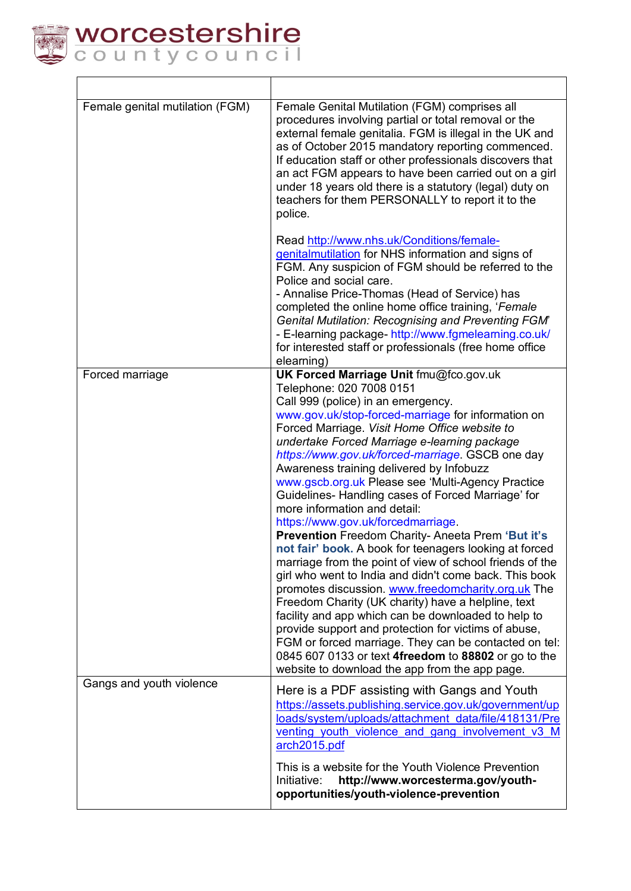

| Female genital mutilation (FGM) | Female Genital Mutilation (FGM) comprises all<br>procedures involving partial or total removal or the<br>external female genitalia. FGM is illegal in the UK and<br>as of October 2015 mandatory reporting commenced.<br>If education staff or other professionals discovers that<br>an act FGM appears to have been carried out on a girl<br>under 18 years old there is a statutory (legal) duty on<br>teachers for them PERSONALLY to report it to the<br>police.                                                                                                                                                                                                                                                                                                                                                                                                                                                                                                                                                                                                                                                                                                                |
|---------------------------------|-------------------------------------------------------------------------------------------------------------------------------------------------------------------------------------------------------------------------------------------------------------------------------------------------------------------------------------------------------------------------------------------------------------------------------------------------------------------------------------------------------------------------------------------------------------------------------------------------------------------------------------------------------------------------------------------------------------------------------------------------------------------------------------------------------------------------------------------------------------------------------------------------------------------------------------------------------------------------------------------------------------------------------------------------------------------------------------------------------------------------------------------------------------------------------------|
|                                 | Read http://www.nhs.uk/Conditions/female-<br>genitalmutilation for NHS information and signs of<br>FGM. Any suspicion of FGM should be referred to the<br>Police and social care.<br>- Annalise Price-Thomas (Head of Service) has<br>completed the online home office training, 'Female<br><b>Genital Mutilation: Recognising and Preventing FGM'</b><br>- E-learning package- http://www.fgmelearning.co.uk/<br>for interested staff or professionals (free home office<br>elearning)                                                                                                                                                                                                                                                                                                                                                                                                                                                                                                                                                                                                                                                                                             |
| Forced marriage                 | UK Forced Marriage Unit fmu@fco.gov.uk<br>Telephone: 020 7008 0151<br>Call 999 (police) in an emergency.<br>www.gov.uk/stop-forced-marriage for information on<br>Forced Marriage. Visit Home Office website to<br>undertake Forced Marriage e-learning package<br>https://www.gov.uk/forced-marriage. GSCB one day<br>Awareness training delivered by Infobuzz<br>www.gscb.org.uk Please see 'Multi-Agency Practice<br>Guidelines- Handling cases of Forced Marriage' for<br>more information and detail:<br>https://www.gov.uk/forcedmarriage.<br>Prevention Freedom Charity- Aneeta Prem 'But it's<br>not fair' book. A book for teenagers looking at forced<br>marriage from the point of view of school friends of the<br>girl who went to India and didn't come back. This book<br>promotes discussion. www.freedomcharity.org.uk The<br>Freedom Charity (UK charity) have a helpline, text<br>facility and app which can be downloaded to help to<br>provide support and protection for victims of abuse,<br>FGM or forced marriage. They can be contacted on tel:<br>0845 607 0133 or text 4freedom to 88802 or go to the<br>website to download the app from the app page. |
| Gangs and youth violence        | Here is a PDF assisting with Gangs and Youth<br>https://assets.publishing.service.gov.uk/government/up<br>loads/system/uploads/attachment data/file/418131/Pre<br>venting youth violence and gang involvement v3 M<br>arch2015.pdf<br>This is a website for the Youth Violence Prevention<br>Initiative:<br>http://www.worcesterma.gov/youth-                                                                                                                                                                                                                                                                                                                                                                                                                                                                                                                                                                                                                                                                                                                                                                                                                                       |
|                                 | opportunities/youth-violence-prevention                                                                                                                                                                                                                                                                                                                                                                                                                                                                                                                                                                                                                                                                                                                                                                                                                                                                                                                                                                                                                                                                                                                                             |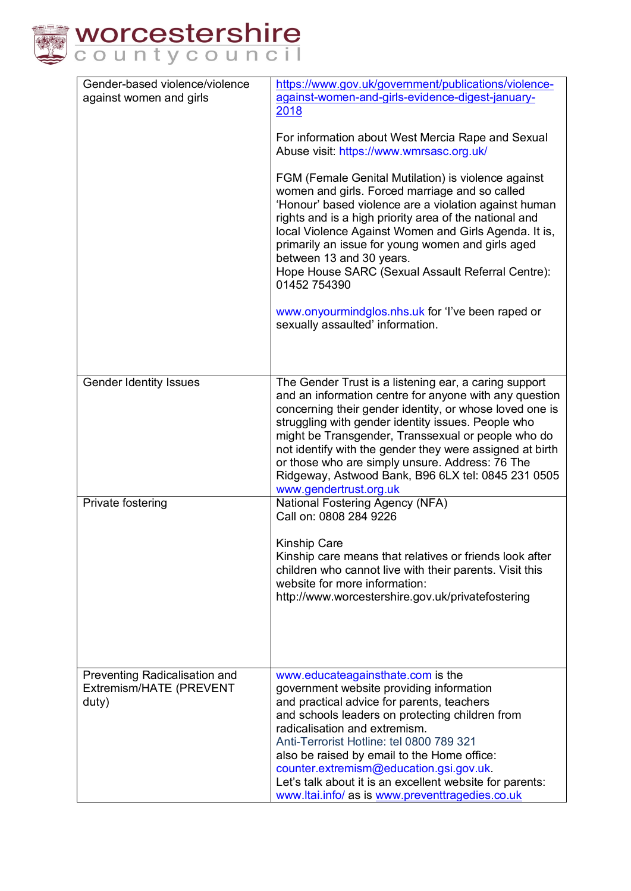

| Gender-based violence/violence<br>against women and girls         | https://www.gov.uk/government/publications/violence-<br>against-women-and-girls-evidence-digest-january-<br>2018<br>For information about West Mercia Rape and Sexual<br>Abuse visit: https://www.wmrsasc.org.uk/<br>FGM (Female Genital Mutilation) is violence against<br>women and girls. Forced marriage and so called<br>'Honour' based violence are a violation against human<br>rights and is a high priority area of the national and<br>local Violence Against Women and Girls Agenda. It is,<br>primarily an issue for young women and girls aged |
|-------------------------------------------------------------------|-------------------------------------------------------------------------------------------------------------------------------------------------------------------------------------------------------------------------------------------------------------------------------------------------------------------------------------------------------------------------------------------------------------------------------------------------------------------------------------------------------------------------------------------------------------|
|                                                                   | between 13 and 30 years.<br>Hope House SARC (Sexual Assault Referral Centre):<br>01452 754390<br>www.onyourmindglos.nhs.uk for 'I've been raped or<br>sexually assaulted' information.                                                                                                                                                                                                                                                                                                                                                                      |
| <b>Gender Identity Issues</b>                                     | The Gender Trust is a listening ear, a caring support<br>and an information centre for anyone with any question<br>concerning their gender identity, or whose loved one is<br>struggling with gender identity issues. People who<br>might be Transgender, Transsexual or people who do<br>not identify with the gender they were assigned at birth<br>or those who are simply unsure. Address: 76 The<br>Ridgeway, Astwood Bank, B96 6LX tel: 0845 231 0505<br>www.gendertrust.org.uk                                                                       |
| Private fostering                                                 | National Fostering Agency (NFA)<br>Call on: 0808 284 9226<br><b>Kinship Care</b><br>Kinship care means that relatives or friends look after<br>children who cannot live with their parents. Visit this<br>website for more information:<br>http://www.worcestershire.gov.uk/privatefostering                                                                                                                                                                                                                                                                |
| Preventing Radicalisation and<br>Extremism/HATE (PREVENT<br>duty) | www.educateagainsthate.com is the<br>government website providing information<br>and practical advice for parents, teachers<br>and schools leaders on protecting children from<br>radicalisation and extremism.<br>Anti-Terrorist Hotline: tel 0800 789 321<br>also be raised by email to the Home office:<br>counter.extremism@education.gsi.gov.uk.<br>Let's talk about it is an excellent website for parents:<br>www.ltai.info/ as is www.preventtragedies.co.uk                                                                                        |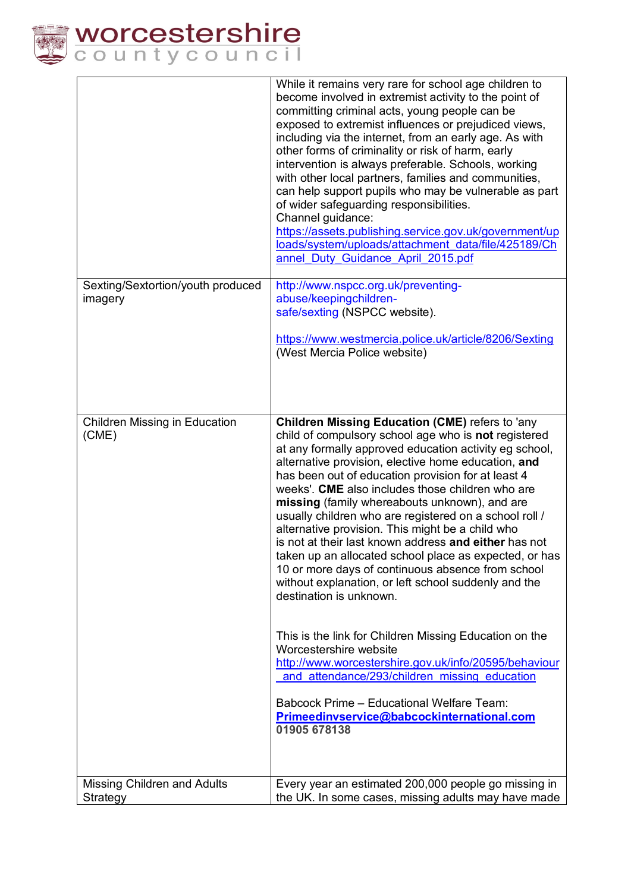

|                                              | While it remains very rare for school age children to<br>become involved in extremist activity to the point of<br>committing criminal acts, young people can be<br>exposed to extremist influences or prejudiced views,<br>including via the internet, from an early age. As with<br>other forms of criminality or risk of harm, early<br>intervention is always preferable. Schools, working<br>with other local partners, families and communities,<br>can help support pupils who may be vulnerable as part<br>of wider safeguarding responsibilities.<br>Channel guidance:<br>https://assets.publishing.service.gov.uk/government/up<br>loads/system/uploads/attachment_data/file/425189/Ch<br>annel Duty Guidance April 2015.pdf                                                                                                                                                                                                                                                                                                                                        |
|----------------------------------------------|------------------------------------------------------------------------------------------------------------------------------------------------------------------------------------------------------------------------------------------------------------------------------------------------------------------------------------------------------------------------------------------------------------------------------------------------------------------------------------------------------------------------------------------------------------------------------------------------------------------------------------------------------------------------------------------------------------------------------------------------------------------------------------------------------------------------------------------------------------------------------------------------------------------------------------------------------------------------------------------------------------------------------------------------------------------------------|
| Sexting/Sextortion/youth produced<br>imagery | http://www.nspcc.org.uk/preventing-<br>abuse/keepingchildren-<br>safe/sexting (NSPCC website).<br>https://www.westmercia.police.uk/article/8206/Sexting<br>(West Mercia Police website)                                                                                                                                                                                                                                                                                                                                                                                                                                                                                                                                                                                                                                                                                                                                                                                                                                                                                      |
| Children Missing in Education<br>(CME)       | <b>Children Missing Education (CME)</b> refers to 'any<br>child of compulsory school age who is not registered<br>at any formally approved education activity eg school,<br>alternative provision, elective home education, and<br>has been out of education provision for at least 4<br>weeks'. CME also includes those children who are<br>missing (family whereabouts unknown), and are<br>usually children who are registered on a school roll /<br>alternative provision. This might be a child who<br>is not at their last known address and either has not<br>taken up an allocated school place as expected, or has<br>10 or more days of continuous absence from school<br>without explanation, or left school suddenly and the<br>destination is unknown.<br>This is the link for Children Missing Education on the<br>Worcestershire website<br>http://www.worcestershire.gov.uk/info/20595/behaviour<br>and attendance/293/children missing education<br>Babcock Prime - Educational Welfare Team:<br>Primeedinvservice@babcockinternational.com<br>01905 678138 |
| Missing Children and Adults<br>Strategy      | Every year an estimated 200,000 people go missing in<br>the UK. In some cases, missing adults may have made                                                                                                                                                                                                                                                                                                                                                                                                                                                                                                                                                                                                                                                                                                                                                                                                                                                                                                                                                                  |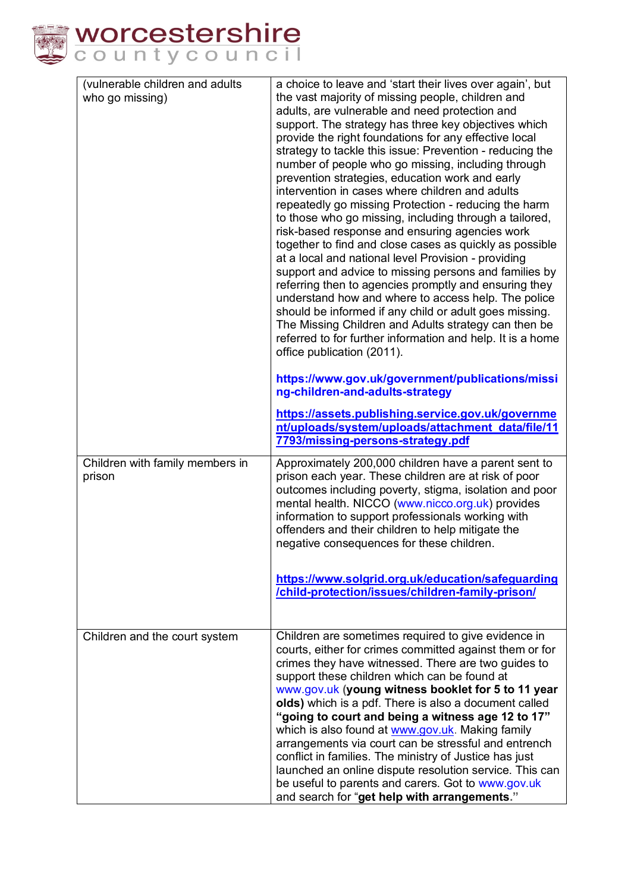

| (vulnerable children and adults<br>a choice to leave and 'start their lives over again', but<br>who go missing)<br>the vast majority of missing people, children and |  |
|----------------------------------------------------------------------------------------------------------------------------------------------------------------------|--|
|                                                                                                                                                                      |  |
| adults, are vulnerable and need protection and                                                                                                                       |  |
| support. The strategy has three key objectives which<br>provide the right foundations for any effective local                                                        |  |
| strategy to tackle this issue: Prevention - reducing the                                                                                                             |  |
| number of people who go missing, including through                                                                                                                   |  |
| prevention strategies, education work and early                                                                                                                      |  |
| intervention in cases where children and adults                                                                                                                      |  |
| repeatedly go missing Protection - reducing the harm                                                                                                                 |  |
| to those who go missing, including through a tailored,                                                                                                               |  |
| risk-based response and ensuring agencies work<br>together to find and close cases as quickly as possible                                                            |  |
| at a local and national level Provision - providing                                                                                                                  |  |
| support and advice to missing persons and families by                                                                                                                |  |
| referring then to agencies promptly and ensuring they                                                                                                                |  |
| understand how and where to access help. The police                                                                                                                  |  |
| should be informed if any child or adult goes missing.<br>The Missing Children and Adults strategy can then be                                                       |  |
| referred to for further information and help. It is a home                                                                                                           |  |
| office publication (2011).                                                                                                                                           |  |
| https://www.gov.uk/government/publications/missi                                                                                                                     |  |
| ng-children-and-adults-strategy                                                                                                                                      |  |
|                                                                                                                                                                      |  |
| https://assets.publishing.service.gov.uk/governme<br>nt/uploads/system/uploads/attachment data/file/11                                                               |  |
| 7793/missing-persons-strategy.pdf                                                                                                                                    |  |
| Children with family members in<br>Approximately 200,000 children have a parent sent to                                                                              |  |
| prison each year. These children are at risk of poor<br>prison                                                                                                       |  |
| outcomes including poverty, stigma, isolation and poor                                                                                                               |  |
| mental health. NICCO (www.nicco.org.uk) provides                                                                                                                     |  |
| information to support professionals working with                                                                                                                    |  |
| offenders and their children to help mitigate the<br>negative consequences for these children.                                                                       |  |
|                                                                                                                                                                      |  |
| https://www.solgrid.org.uk/education/safeguarding                                                                                                                    |  |
| /child-protection/issues/children-family-prison/                                                                                                                     |  |
|                                                                                                                                                                      |  |
| Children are sometimes required to give evidence in<br>Children and the court system                                                                                 |  |
| courts, either for crimes committed against them or for                                                                                                              |  |
| crimes they have witnessed. There are two guides to                                                                                                                  |  |
| support these children which can be found at                                                                                                                         |  |
| www.gov.uk (young witness booklet for 5 to 11 year                                                                                                                   |  |
| olds) which is a pdf. There is also a document called<br>"going to court and being a witness age 12 to 17"                                                           |  |
| which is also found at www.gov.uk. Making family                                                                                                                     |  |
| arrangements via court can be stressful and entrench                                                                                                                 |  |
| conflict in families. The ministry of Justice has just                                                                                                               |  |
| launched an online dispute resolution service. This can                                                                                                              |  |
| be useful to parents and carers. Got to www.gov.uk<br>and search for "get help with arrangements."                                                                   |  |